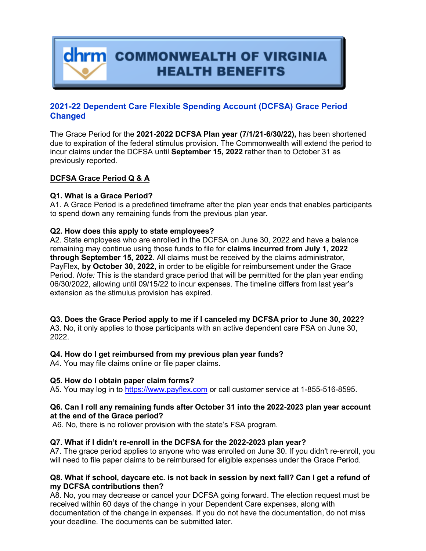**dhrm** COMMONWEALTH OF VIRGINIA **HEALTH BENEFITS** 

# **2021-22 Dependent Care Flexible Spending Account (DCFSA) Grace Period Changed**

The Grace Period for the **2021-2022 DCFSA Plan year (7/1/21-6/30/22),** has been shortened due to expiration of the federal stimulus provision. The Commonwealth will extend the period to incur claims under the DCFSA until **September 15, 2022** rather than to October 31 as previously reported.

## **DCFSA Grace Period Q & A**

## **Q1. What is a Grace Period?**

A1. A Grace Period is a predefined timeframe after the plan year ends that enables participants to spend down any remaining funds from the previous plan year.

## **Q2. How does this apply to state employees?**

A2. State employees who are enrolled in the DCFSA on June 30, 2022 and have a balance remaining may continue using those funds to file for **claims incurred from July 1, 2022 through September 15, 2022**. All claims must be received by the claims administrator, PayFlex, **by October 30, 2022,** in order to be eligible for reimbursement under the Grace Period. *Note:* This is the standard grace period that will be permitted for the plan year ending 06/30/2022, allowing until 09/15/22 to incur expenses. The timeline differs from last year's extension as the stimulus provision has expired.

## **Q3. Does the Grace Period apply to me if I canceled my DCFSA prior to June 30, 2022?**

A3. No, it only applies to those participants with an active dependent care FSA on June 30, 2022.

## **Q4. How do I get reimbursed from my previous plan year funds?**

A4. You may file claims online or file paper claims.

## **Q5. How do I obtain paper claim forms?**

A5. You may log in to [https://www.payflex.com](https://www.payflex.com/) or call customer service at 1-855-516-8595.

#### **Q6. Can I roll any remaining funds after October 31 into the 2022-2023 plan year account at the end of the Grace period?**

A6. No, there is no rollover provision with the state's FSA program.

## **Q7. What if I didn't re-enroll in the DCFSA for the 2022-2023 plan year?**

A7. The grace period applies to anyone who was enrolled on June 30. If you didn't re-enroll, you will need to file paper claims to be reimbursed for eligible expenses under the Grace Period.

## **Q8. What if school, daycare etc. is not back in session by next fall? Can I get a refund of my DCFSA contributions then?**

A8. No, you may decrease or cancel your DCFSA going forward. The election request must be received within 60 days of the change in your Dependent Care expenses, along with documentation of the change in expenses. If you do not have the documentation, do not miss your deadline. The documents can be submitted later.